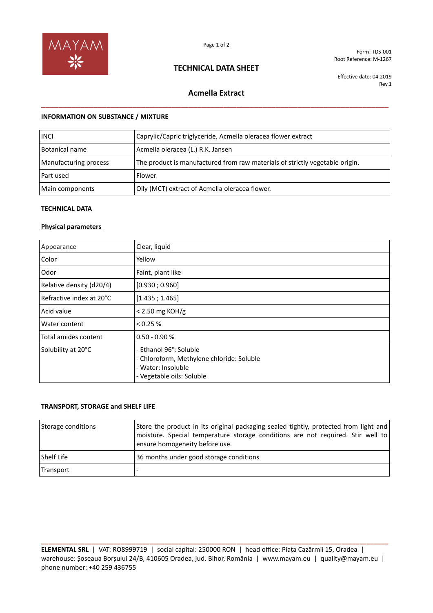

## **TECHNICAL DATA SHEET**

Form: TDS-001 Root Reference: M-1267

Effective date: 04.2019 Rev.1

# **Acmella Extract** \_\_\_\_\_\_\_\_\_\_\_\_\_\_\_\_\_\_\_\_\_\_\_\_\_\_\_\_\_\_\_\_\_\_\_\_\_\_\_\_\_\_\_\_\_\_\_\_\_\_\_\_\_\_\_\_\_\_\_\_\_\_\_\_\_\_\_\_\_\_\_\_\_\_\_\_\_\_\_\_

#### **INFORMATION ON SUBSTANCE / MIXTURE**

| <b>INCI</b>           | Caprylic/Capric triglyceride, Acmella oleracea flower extract                |
|-----------------------|------------------------------------------------------------------------------|
| Botanical name        | Acmella oleracea (L.) R.K. Jansen                                            |
| Manufacturing process | The product is manufactured from raw materials of strictly vegetable origin. |
| Part used             | Flower                                                                       |
| Main components       | Oily (MCT) extract of Acmella oleracea flower.                               |

#### **TECHNICAL DATA**

### **Physical parameters**

| Appearance               | Clear, liquid                                                                                                          |
|--------------------------|------------------------------------------------------------------------------------------------------------------------|
| Color                    | Yellow                                                                                                                 |
| Odor                     | Faint, plant like                                                                                                      |
| Relative density (d20/4) | [0.930; 0.960]                                                                                                         |
| Refractive index at 20°C | [1.435; 1.465]                                                                                                         |
| Acid value               | $< 2.50$ mg KOH/g                                                                                                      |
| Water content            | < 0.25 %                                                                                                               |
| Total amides content     | $0.50 - 0.90 %$                                                                                                        |
| Solubility at 20°C       | - Ethanol 96°: Soluble<br>- Chloroform, Methylene chloride: Soluble<br>- Water: Insoluble<br>- Vegetable oils: Soluble |

#### **TRANSPORT, STORAGE and SHELF LIFE**

| Storage conditions | Store the product in its original packaging sealed tightly, protected from light and<br>  moisture. Special temperature storage conditions are not required. Stir well to<br>ensure homogeneity before use. |
|--------------------|-------------------------------------------------------------------------------------------------------------------------------------------------------------------------------------------------------------|
| Shelf Life         | 36 months under good storage conditions                                                                                                                                                                     |
| Transport          |                                                                                                                                                                                                             |

**ELEMENTAL SRL** | VAT: RO8999719 | social capital: 250000 RON | head office: Piața Cazărmii 15, Oradea | warehouse: Șoseaua Borșului 24/B, 410605 Oradea, jud. Bihor, România | www.mayam.eu | quality@mayam.eu | phone number: +40 259 436755

**\_\_\_\_\_\_\_\_\_\_\_\_\_\_\_\_\_\_\_\_\_\_\_\_\_\_\_\_\_\_\_\_\_\_\_\_\_\_\_\_\_\_\_\_\_\_\_\_\_\_\_\_\_\_\_\_\_\_\_\_\_\_\_\_\_\_\_\_\_\_\_\_\_\_\_\_\_\_\_\_\_\_\_\_\_\_\_\_\_\_\_\_\_\_\_\_**